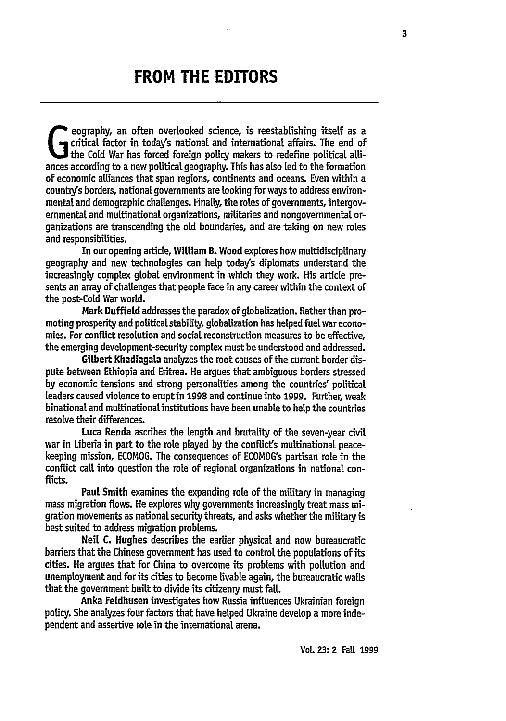## **FROM THE EDITORS**

critical factor in today's national and international affairs. The end of the Cold War has forced foreign policy makers to redefine political attiances according to a new political geography. This has also led to the formation of economic alliances that span regions, continents and oceans. Even within a country's borders, national governments are looking for ways to address environmental and demographic challenges. Finally, the roles of governments, intergovernmental and multinational organizations, militaries and nongovernmental organizations are transcending the old boundaries, and are taking on new roles and responsibilities.

In our opening article, William B. Wood explores how multidisciplinary geography and new technologies can help today's diplomats understand the increasingly complex global environment in which they work. His article presents an array of challenges that people face in any career within the context of the post-Cold War world.

Mark Duffield addresses the paradox of globalization. Rather than promoting prosperity and political stability, globalization has helped fuetwar economies. For conflict resolution and social reconstruction measures to be effective, the emerging development-security complex must be understood and addressed.

Gilbert Khadiagala analyzes the root causes of the current border dispute between Ethiopia and Eritrea. He argues that ambiguous borders stressed **by** economic tensions and strong personalities among the countries' political leaders caused violence to eruptin **1998** and continue into **1999.** Further, weak binational and multinationalinstitutions have been unable to help the countries resolve their differences.

Luca Renda ascribes the length and brutality of the seven-year civil war in Liberia in part to the role played by the conflict's multinational peacekeeping mission, **ECOMOG.** The consequences of ECOMOG's partisan rote in the conflict call into question the role of regional organizations in national conflicts.

Paul Smith examines the expanding role of the military in managing mass migration flows. He explores why governments increasingly treat mass migration movements as national security threats, and asks whether the military is best suited to address migration problems.

Neil **C.** Hughes describes the earlier physical and now bureaucratic barriers that the Chinese government has used to control the populations of its cities. He argues that for China to overcome its problems with pollution and unemployment and for its cities to become livable again, the bureaucratic walls that the government built to divide its citizenry must fall.

Anka Fetdhusen investigates how Russia influences Ukrainian foreign policy. She analyzes four factors that have helped Ukraine develop a more independent and assertive role in the international arena.